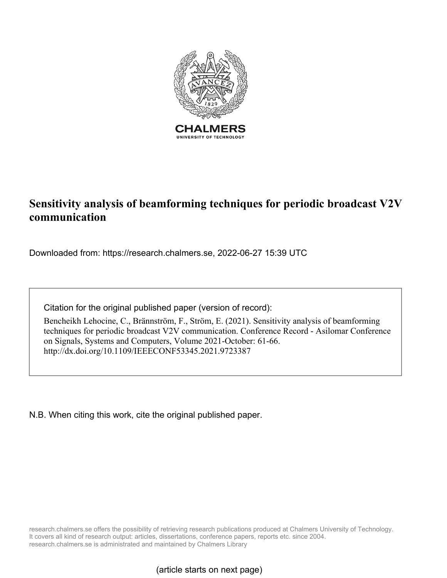

# **Sensitivity analysis of beamforming techniques for periodic broadcast V2V communication**

Downloaded from: https://research.chalmers.se, 2022-06-27 15:39 UTC

Citation for the original published paper (version of record):

Bencheikh Lehocine, C., Brännström, F., Ström, E. (2021). Sensitivity analysis of beamforming techniques for periodic broadcast V2V communication. Conference Record - Asilomar Conference on Signals, Systems and Computers, Volume 2021-October: 61-66. http://dx.doi.org/10.1109/IEEECONF53345.2021.9723387

N.B. When citing this work, cite the original published paper.

research.chalmers.se offers the possibility of retrieving research publications produced at Chalmers University of Technology. It covers all kind of research output: articles, dissertations, conference papers, reports etc. since 2004. research.chalmers.se is administrated and maintained by Chalmers Library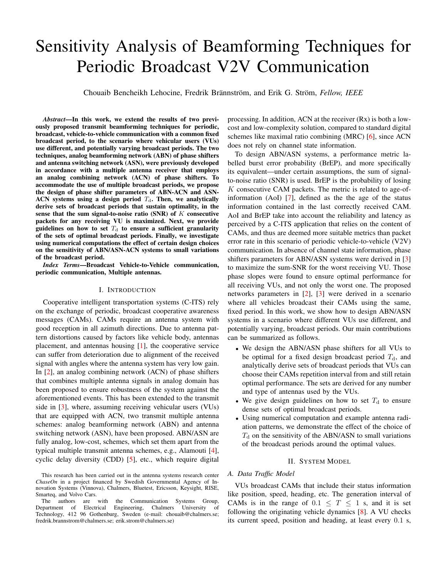# Sensitivity Analysis of Beamforming Techniques for Periodic Broadcast V2V Communication

Chouaib Bencheikh Lehocine, Fredrik Brännström, and Erik G. Ström, Fellow, IEEE

*Abstract*—In this work, we extend the results of two previously proposed transmit beamforming techniques for periodic, broadcast, vehicle-to-vehicle communication with a common fixed broadcast period, to the scenario where vehicular users (VUs) use different, and potentially varying broadcast periods. The two techniques, analog beamforming network (ABN) of phase shifters and antenna switching network (ASN), were previously developed in accordance with a multiple antenna receiver that employs an analog combining network (ACN) of phase shifters. To accommodate the use of multiple broadcast periods, we propose the design of phase shifter parameters of ABN-ACN and ASN-ACN systems using a design period  $T<sub>d</sub>$ . Then, we analytically derive sets of broadcast periods that sustain optimality, in the sense that the sum signal-to-noise ratio (SNR) of  $K$  consecutive packets for any receiving VU is maximized. Next, we provide guidelines on how to set  $T<sub>d</sub>$  to ensure a sufficient granularity of the sets of optimal broadcast periods. Finally, we investigate using numerical computations the effect of certain design choices on the sensitivity of ABN/ASN-ACN systems to small variations of the broadcast period.

*Index Terms*—Broadcast Vehicle-to-Vehicle communication, periodic communication, Multiple antennas.

#### I. INTRODUCTION

Cooperative intelligent transportation systems (C-ITS) rely on the exchange of periodic, broadcast cooperative awareness messages (CAMs). CAMs require an antenna system with good reception in all azimuth directions. Due to antenna pattern distortions caused by factors like vehicle body, antennas placement, and antennas housing [\[1\]](#page-6-0), the cooperative service can suffer from deterioration due to alignment of the received signal with angles where the antenna system has very low gain. In [\[2\]](#page-6-1), an analog combining network (ACN) of phase shifters that combines multiple antenna signals in analog domain has been proposed to ensure robustness of the system against the aforementioned events. This has been extended to the transmit side in [\[3\]](#page-6-2), where, assuming receiving vehicular users (VUs) that are equipped with ACN, two transmit multiple antenna schemes: analog beamforming network (ABN) and antenna switching network (ASN), have been proposed. ABN/ASN are fully analog, low-cost, schemes, which set them apart from the typical multiple transmit antenna schemes, e.g., Alamouti [\[4\]](#page-6-3), cyclic delay diversity (CDD) [\[5\]](#page-6-4), etc., which require digital processing. In addition, ACN at the receiver (Rx) is both a lowcost and low-complexity solution, compared to standard digital schemes like maximal ratio combining (MRC) [\[6\]](#page-6-5), since ACN does not rely on channel state information.

To design ABN/ASN systems, a performance metric labelled burst error probability (BrEP), and more specifically its equivalent—under certain assumptions, the sum of signalto-noise ratio (SNR) is used. BrEP is the probability of losing  $K$  consecutive CAM packets. The metric is related to age-ofinformation (AoI) [\[7\]](#page-6-6), defined as the the age of the status information contained in the last correctly received CAM. AoI and BrEP take into account the reliability and latency as perceived by a C-ITS application that relies on the content of CAMs, and thus are deemed more suitable metrics than packet error rate in this scenario of periodic vehicle-to-vehicle (V2V) communication. In absence of channel state information, phase shifters parameters for ABN/ASN systems were derived in [\[3\]](#page-6-2) to maximize the sum-SNR for the worst receiving VU. Those phase slopes were found to ensure optimal performance for all receiving VUs, and not only the worst one. The proposed networks parameters in [\[2\]](#page-6-1), [\[3\]](#page-6-2) were derived in a scenario where all vehicles broadcast their CAMs using the same, fixed period. In this work, we show how to design ABN/ASN systems in a scenario where different VUs use different, and potentially varying, broadcast periods. Our main contributions can be summarized as follows.

- We design the ABN/ASN phase shifters for all VUs to be optimal for a fixed design broadcast period  $T<sub>d</sub>$ , and analytically derive sets of broadcast periods that VUs can choose their CAMs repetition interval from and still retain optimal performance. The sets are derived for any number and type of antennas used by the VUs.
- We give design guidelines on how to set  $T<sub>d</sub>$  to ensure dense sets of optimal broadcast periods.
- Using numerical computation and example antenna radiation patterns, we demonstrate the effect of the choice of  $T<sub>d</sub>$  on the sensitivity of the ABN/ASN to small variations of the broadcast periods around the optimal values.

## II. SYSTEM MODEL

# *A. Data Traffic Model*

VUs broadcast CAMs that include their status information like position, speed, heading, etc. The generation interval of CAMs is in the range of  $0.1 \leq T \leq 1$  s, and it is set following the originating vehicle dynamics [\[8\]](#page-6-7). A VU checks its current speed, position and heading, at least every 0.1 s,

This research has been carried out in the antenna systems research center *ChaseOn* in a project financed by Swedish Governmental Agency of Innovation Systems (Vinnova), Chalmers, Bluetest, Ericsson, Keysight, RISE, Smarteq, and Volvo Cars.

The authors are with the Communication Systems Group,<br>epartment of Electrical Engineering, Chalmers University of Department of Electrical Engineering, Chalmers University Technology, 412 96 Gothenburg, Sweden (e-mail: chouaib@chalmers.se; fredrik.brannstrom@chalmers.se; erik.strom@chalmers.se)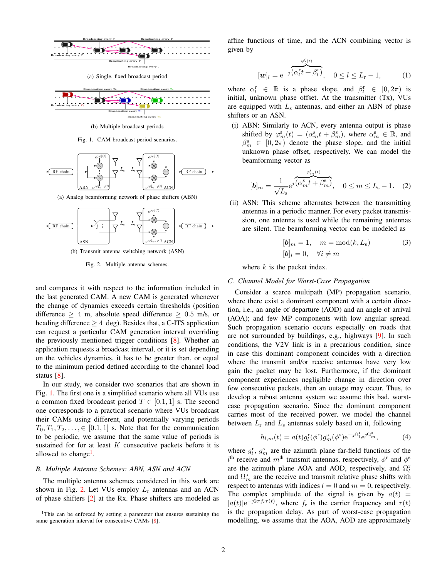<span id="page-2-4"></span>

(a) Single, fixed broadcast period

<span id="page-2-5"></span>

<span id="page-2-0"></span>(b) Multiple broadcast periods

Fig. 1. CAM broadcast period scenarios.



(a) Analog beamforming network of phase shifters (ABN)



(b) Transmit antenna switching network (ASN)

<span id="page-2-2"></span>Fig. 2. Multiple antenna schemes.

and compares it with respect to the information included in the last generated CAM. A new CAM is generated whenever the change of dynamics exceeds certain thresholds (position difference  $\geq$  4 m, absolute speed difference  $\geq$  0.5 m/s, or heading difference  $\geq 4$  deg). Besides that, a C-ITS application can request a particular CAM generation interval overriding the previously mentioned trigger conditions [\[8\]](#page-6-7). Whether an application requests a broadcast interval, or it is set depending on the vehicles dynamics, it has to be greater than, or equal to the minimum period defined according to the channel load status [\[8\]](#page-6-7).

In our study, we consider two scenarios that are shown in Fig. [1.](#page-2-0) The first one is a simplified scenario where all VUs use a common fixed broadcast period  $T \in [0.1, 1]$  s. The second one corresponds to a practical scenario where VUs broadcast their CAMs using different, and potentially varying periods  $T_0, T_1, T_2, \ldots, \in [0.1, 1]$  s. Note that for the communication to be periodic, we assume that the same value of periods is sustained for for at least  $K$  consecutive packets before it is allowed to change<sup>[1](#page-2-1)</sup>.

# *B. Multiple Antenna Schemes: ABN, ASN and ACN*

The multiple antenna schemes considered in this work are shown in Fig. [2.](#page-2-2) Let VUs employ  $L_r$  antennas and an ACN of phase shifters [\[2\]](#page-6-1) at the Rx. Phase shifters are modeled as

<span id="page-2-1"></span><sup>1</sup>This can be enforced by setting a parameter that ensures sustaining the same generation interval for consecutive CAMs [\[8\]](#page-6-7).

affine functions of time, and the ACN combining vector is given by

$$
[\boldsymbol{w}]_l = e^{-j} \overbrace{(\alpha_l^{\mathrm{T}} t + \beta_l^{\mathrm{T}})}^{\varphi_l^{\mathrm{T}}(t)}, \quad 0 \le l \le L_{\mathrm{r}} - 1,\tag{1}
$$

where  $\alpha_l^r \in \mathbb{R}$  is a phase slope, and  $\beta_l^r \in [0, 2\pi)$  is initial, unknown phase offset. At the transmitter (Tx), VUs are equipped with  $L<sub>s</sub>$  antennas, and either an ABN of phase shifters or an ASN.

(i) ABN: Similarly to ACN, every antenna output is phase shifted by  $\varphi_m^s(t) = (\alpha_m^s t + \beta_m^s)$ , where  $\alpha_m^s \in \mathbb{R}$ , and  $\beta_m^s \in [0, 2\pi)$  denote the phase slope, and the initial unknown phase offset, respectively. We can model the beamforming vector as

$$
[\boldsymbol{b}]_m = \frac{1}{\sqrt{L_s}} e^{\jmath} \overbrace{(\alpha_m^s t + \beta_m^s)}^{\varphi_m^s(t)}, \quad 0 \le m \le L_s - 1. \quad (2)
$$

(ii) ASN: This scheme alternates between the transmitting antennas in a periodic manner. For every packet transmission, one antenna is used while the remaining antennas are silent. The beamforming vector can be modeled as

$$
[\mathbf{b}]_m = 1, \quad m = \text{mod}(k, L_s)
$$
  

$$
[\mathbf{b}]_i = 0, \quad \forall i \neq m
$$
 (3)

where  $k$  is the packet index.

# <span id="page-2-3"></span>*C. Channel Model for Worst-Case Propagation*

Consider a scarce multipath (MP) propagation scenario, where there exist a dominant component with a certain direction, i.e., an angle of departure (AOD) and an angle of arrival (AOA); and few MP components with low angular spread. Such propagation scenario occurs especially on roads that are not surrounded by buildings, e.g., highways [\[9\]](#page-6-8). In such conditions, the V2V link is in a precarious condition, since in case this dominant component coincides with a direction where the transmit and/or receive antennas have very low gain the packet may be lost. Furthermore, if the dominant component experiences negligible change in direction over few consecutive packets, then an outage may occur. Thus, to develop a robust antenna system we assume this bad, worstcase propagation scenario. Since the dominant component carries most of the received power, we model the channel between  $L_r$  and  $L_s$  antennas solely based on it, following

$$
h_{l,m}(t) = a(t)g_l^{\mathrm{r}}(\phi^{\mathrm{r}})g_m^{\mathrm{s}}(\phi^{\mathrm{s}})e^{-\jmath\Omega_{l}^{\mathrm{r}}}e^{\jmath\Omega_{m}^{\mathrm{s}}},\tag{4}
$$

where  $g_l^r$ ,  $g_m^s$  are the azimuth plane far-field functions of the  $l<sup>th</sup>$  receive and  $m<sup>th</sup>$  transmit antennas, respectively,  $\phi$ <sup>r</sup> and  $\phi$ <sup>s</sup> are the azimuth plane AOA and AOD, respectively, and  $\Omega_l^r$ and  $\Omega_m^s$  are the receive and transmit relative phase shifts with respect to antennas with indices  $l = 0$  and  $m = 0$ , respectively. The complex amplitude of the signal is given by  $a(t)$  =  $|a(t)|e^{-j2\pi f_c\tau(t)}$ , where  $f_c$  is the carrier frequency and  $\tau(t)$ is the propagation delay. As part of worst-case propagation modelling, we assume that the AOA, AOD are approximately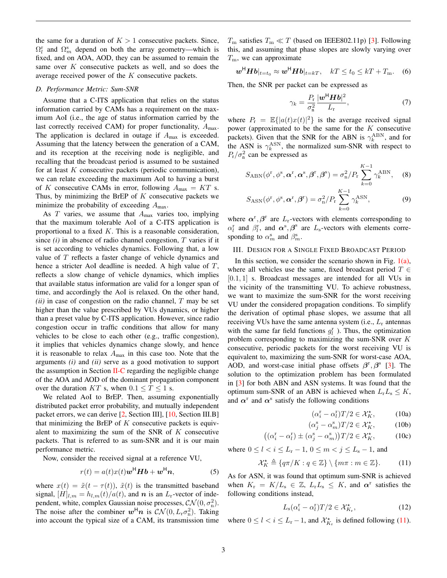the same for a duration of  $K > 1$  consecutive packets. Since,  $\Omega_l^{\rm r}$  and  $\Omega_m^{\rm s}$  depend on both the array geometry—which is fixed, and on AOA, AOD, they can be assumed to remain the same over K consecutive packets as well, and so does the average received power of the K consecutive packets.

# <span id="page-3-4"></span>*D. Performance Metric: Sum-SNR*

Assume that a C-ITS application that relies on the status information carried by CAMs has a requirement on the maximum AoI (i.e., the age of status information carried by the last correctly received CAM) for proper functionality,  $A_{\text{max}}$ . The application is declared in outage if  $A_{\text{max}}$  is exceeded. Assuming that the latency between the generation of a CAM, and its reception at the receiving node is negligible, and recalling that the broadcast period is assumed to be sustained for at least  $K$  consecutive packets (periodic communication), we can relate exceeding the maximum AoI to having a burst of K consecutive CAMs in error, following  $A_{\text{max}} = KT$  s. Thus, by minimizing the BrEP of  $K$  consecutive packets we minimize the probability of exceeding  $A_{\text{max}}$ .

As  $T$  varies, we assume that  $A_{\text{max}}$  varies too, implying that the maximum tolerable AoI of a C-ITS application is proportional to a fixed  $K$ . This is a reasonable consideration, since *(i)* in absence of radio channel congestion, T varies if it is set according to vehicles dynamics. Following that, a low value of T reflects a faster change of vehicle dynamics and hence a stricter AoI deadline is needed. A high value of T, reflects a slow change of vehicle dynamics, which implies that available status information are valid for a longer span of time, and accordingly the AoI is relaxed. On the other hand,  $(ii)$  in case of congestion on the radio channel,  $T$  may be set higher than the value prescribed by VUs dynamics, or higher than a preset value by C-ITS application. However, since radio congestion occur in traffic conditions that allow for many vehicles to be close to each other (e.g., traffic congestion), it implies that vehicles dynamics change slowly, and hence it is reasonable to relax  $A_{\text{max}}$  in this case too. Note that the arguments *(i)* and *(ii)* serve as a good motivation to support the assumption in Section  $II-C$  regarding the negligible change of the AOA and AOD of the dominant propagation component over the duration KT s, when  $0.1 \le T \le 1$  s.

We related AoI to BrEP. Then, assuming exponentially distributed packet error probability, and mutually independent packet errors, we can derive [\[2,](#page-6-1) Section III], [\[10,](#page-6-9) Section III.B] that minimizing the BrEP of  $K$  consecutive packets is equivalent to maximizing the sum of the SNR of  $K$  consecutive packets. That is referred to as sum-SNR and it is our main performance metric.

Now, consider the received signal at a reference VU,

$$
r(t) = a(t)x(t)\mathbf{w}^{\mathsf{H}}\mathbf{H}\mathbf{b} + \mathbf{w}^{\mathsf{H}}\mathbf{n},\tag{5}
$$

where  $x(t) = \tilde{x}(t - \tau(t))$ ,  $\tilde{x}(t)$  is the transmitted baseband signal,  $[H]_{l,m} = h_{l,m}(t)/a(t)$ , and n is an  $L_r$ -vector of independent, white, complex Gaussian noise processes,  $CN(0, \sigma_n^2)$ . The noise after the combiner  $w^{\text{H}} n$  is  $\mathcal{CN}(0, L_{\text{r}} \sigma_{\text{n}}^2)$ . Taking into account the typical size of a CAM, its transmission time  $T_{\rm m}$  satisfies  $T_{\rm m} \ll T$  (based on IEEE802.11p) [\[3\]](#page-6-2). Following this, and assuming that phase slopes are slowly varying over  $T<sub>m</sub>$ , we can approximate

$$
\boldsymbol{w}^{\mathsf{H}} \boldsymbol{H} \boldsymbol{b} |_{t=t_0} \approx \boldsymbol{w}^{\mathsf{H}} \boldsymbol{H} \boldsymbol{b} |_{t=kT}, \quad kT \le t_0 \le kT + T_{\mathrm{m}}.
$$
 (6)

Then, the SNR per packet can be expressed as

<span id="page-3-3"></span>
$$
\gamma_k = \frac{P_r}{\sigma_n^2} \frac{|\boldsymbol{w}^{\mathsf{H}} \boldsymbol{H} \boldsymbol{b}|^2}{L_r},\tag{7}
$$

where  $P_r = \mathbb{E}\{|a(t)x(t)|^2\}$  is the average received signal power (approximated to be the same for the K consecutive packets). Given that the SNR for the ABN is  $\gamma_k^{\text{ABN}}$ , and for the ASN is  $\gamma_k^{\rm ASN}$ , the normalized sum-SNR with respect to  $P_{\rm r}/\sigma_{\rm n}^2$  can be expressed as

$$
S_{\rm ABN}(\phi^{\rm r}, \phi^{\rm s}, \boldsymbol{\alpha}^{\rm r}, \boldsymbol{\alpha}^{\rm s}, \boldsymbol{\beta}^{\rm r}, \boldsymbol{\beta}^{\rm s}) = \sigma_{\rm n}^2 / P_{\rm r} \sum_{k=0}^{K-1} \gamma_k^{\rm ABN}, \quad (8)
$$

$$
S_{\text{ASN}}(\phi^{\text{r}}, \phi^{\text{s}}, \alpha^{\text{r}}, \beta^{\text{r}}) = \sigma_{\text{n}}^2 / P_{\text{r}} \sum_{k=0}^{K-1} \gamma_k^{\text{ASN}}, \tag{9}
$$

where  $\alpha^{\rm r}, \beta^{\rm r}$  are  $L_{\rm r}$ -vectors with elements corresponding to  $\alpha_l^{\rm r}$  and  $\beta_l^{\rm r}$ , and  $\alpha_s^{\rm s}$ ,  $\beta_s^{\rm s}$  are  $L_{\rm s}$ -vectors with elements corresponding to  $\alpha_m^s$  and  $\beta_m^s$ .

#### III. DESIGN FOR A SINGLE FIXED BROADCAST PERIOD

In this section, we consider the scenario shown in Fig.  $1(a)$ , where all vehicles use the same, fixed broadcast period  $T \in$ [0.1, 1] s. Broadcast messages are intended for all VUs in the vicinity of the transmitting VU. To achieve robustness, we want to maximize the sum-SNR for the worst receiving VU under the considered propagation conditions. To simplify the derivation of optimal phase slopes, we assume that all receiving VUs have the same antenna system (i.e.,  $L_r$  antennas with the same far field functions  $g_l^r$  ). Thus, the optimization problem corresponding to maximizing the sum-SNR over K consecutive, periodic packets for the worst receiving VU is equivalent to, maximizing the sum-SNR for worst-case AOA, AOD, and worst-case initial phase offsets  $\beta^r, \beta^s$  [\[3\]](#page-6-2). The solution to the optimization problem has been formulated in [\[3\]](#page-6-2) for both ABN and ASN systems. It was found that the optimum sum-SNR of an ABN is achieved when  $L_rL_s \leq K$ , and  $\alpha^r$  and  $\alpha^s$  satisfy the following conditions

<span id="page-3-1"></span><span id="page-3-0"></span>
$$
(\alpha_i^{\mathbf{r}} - \alpha_l^{\mathbf{r}})T/2 \in \mathcal{X}_K^{\star}, \tag{10a}
$$

$$
(\alpha_j^s - \alpha_m^s)T/2 \in \mathcal{X}_K^\star, \tag{10b}
$$

$$
((\alpha_i^{\mathbf{r}} - \alpha_l^{\mathbf{r}}) \pm (\alpha_j^{\mathbf{s}} - \alpha_m^{\mathbf{s}}))T/2 \in \mathcal{X}_K^{\star},\tag{10c}
$$

where  $0 \le l < i \le L_{\rm r} - 1$ ,  $0 \le m < j \le L_{\rm s} - 1$ , and

$$
\mathcal{X}_K^{\star} \triangleq \{ q \pi / K : q \in \mathbb{Z} \} \setminus \{ m \pi : m \in \mathbb{Z} \}. \tag{11}
$$

As for ASN, it was found that optimum sum-SNR is achieved when  $K_{\rm r} = K/L_{\rm s} \in \mathbb{Z}$ ,  $L_{\rm r} L_{\rm s} \leq K$ , and  $\alpha^{\rm r}$  satisfies the following conditions instead,

<span id="page-3-2"></span>
$$
L_{\rm s}(\alpha_i^{\rm r} - \alpha_l^{\rm r})T/2 \in \mathcal{X}_{K_{\rm r}}^{\star},\tag{12}
$$

where  $0 \le l < i \le L_{\rm r} - 1$ , and  $\mathcal{X}^{\star}_{K_{\rm r}}$  is defined following [\(11\)](#page-3-0).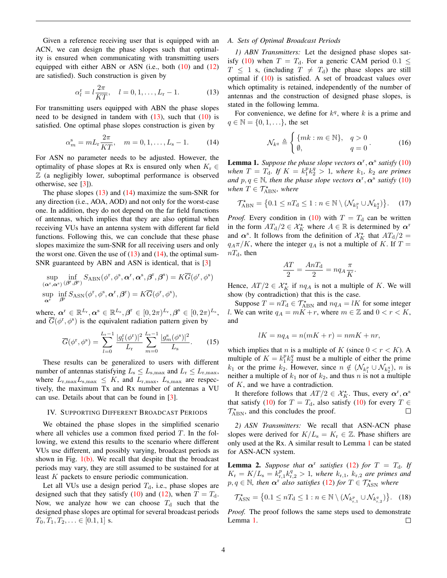Given a reference receiving user that is equipped with an ACN, we can design the phase slopes such that optimality is ensured when communicating with transmitting users equipped with either ABN or ASN (i.e., both  $(10)$  and  $(12)$ ) are satisfied). Such construction is given by

$$
\alpha_l^{\rm r} = l \frac{2\pi}{KT}, \quad l = 0, 1, \dots, L_{\rm r} - 1. \tag{13}
$$

For transmitting users equipped with ABN the phase slopes need to be designed in tandem with  $(13)$ , such that  $(10)$  is satisfied. One optimal phase slopes construction is given by

$$
\alpha_m^s = mL_r \frac{2\pi}{KT}, \quad m = 0, 1, \dots, L_s - 1. \tag{14}
$$

For ASN no parameter needs to be adjusted. However, the optimality of phase slopes at Rx is ensured only when  $K_r \in$  $Z$  (a negligibly lower, suboptimal performance is observed otherwise, see [\[3\]](#page-6-2)).

The phase slopes  $(13)$  and  $(14)$  maximize the sum-SNR for any direction (i.e., AOA, AOD) and not only for the worst-case one. In addition, they do not depend on the far field functions of antennas, which implies that they are also optimal when receiving VUs have an antenna system with different far field functions. Following this, we can conclude that these phase slopes maximize the sum-SNR for all receiving users and only the worst one. Given the use of  $(13)$  and  $(14)$ , the optimal sum-SNR guaranteed by ABN and ASN is identical, that is [\[3\]](#page-6-2)

$$
\sup_{\substack{(\boldsymbol{\alpha}^{\mathrm{r}},\boldsymbol{\alpha}^{\mathrm{s}})\\ \text{sup} \\ \boldsymbol{\alpha}^{\mathrm{r}}}} \inf_{\substack{\beta^{\mathrm{r}},\beta^{\mathrm{s}}}} S_{\mathrm{ABN}}(\phi^{\mathrm{r}},\phi^{\mathrm{s}},\boldsymbol{\alpha}^{\mathrm{r}},\boldsymbol{\alpha}^{\mathrm{s}},\beta^{\mathrm{r}},\beta^{\mathrm{s}}) = K\overline{G}(\phi^{\mathrm{r}},\phi^{\mathrm{s}})
$$
\n
$$
\sup_{\boldsymbol{\alpha}^{\mathrm{r}}} \inf_{\beta^{\mathrm{r}}} S_{\mathrm{ASN}}(\phi^{\mathrm{r}},\phi^{\mathrm{s}},\boldsymbol{\alpha}^{\mathrm{r}},\beta^{\mathrm{r}}) = K\overline{G}(\phi^{\mathrm{r}},\phi^{\mathrm{s}}),
$$

where,  $\boldsymbol{\alpha}^{\mathrm{r}} \in \mathbb{R}^{L_{\mathrm{r}}}, \boldsymbol{\alpha}^{\mathrm{s}} \in \mathbb{R}^{L_{\mathrm{s}}}, \boldsymbol{\beta}^{\mathrm{r}} \in [0, 2\pi)^{L_{\mathrm{r}}}, \boldsymbol{\beta}^{\mathrm{s}} \in [0, 2\pi)^{L_{\mathrm{s}}},$ and  $\overline{G}(\phi^r, \phi^s)$  is the equivalent radiation pattern given by

$$
\overline{G}(\phi^{\mathrm{r}}, \phi^{\mathrm{s}}) = \sum_{l=0}^{L_{\mathrm{r}}-1} \frac{|g_l^{\mathrm{r}}(\phi^{\mathrm{r}})|^2}{L_{\mathrm{r}}} \sum_{m=0}^{L_{\mathrm{s}}-1} \frac{|g_m^{\mathrm{s}}(\phi^{\mathrm{s}})|^2}{L_{\mathrm{s}}}.
$$
 (15)

These results can be generalized to users with different number of antennas statisfying  $L_s \le L_{s,\text{max}}$  and  $L_r \le L_{r,\text{max}}$ , where  $L_{\rm r,max}L_{\rm s,max} \leq K$ , and  $L_{\rm r,max}$ ,  $L_{\rm s,max}$  are respectively, the maximum Tx and Rx number of antennas a VU can use. Details about that can be found in [\[3\]](#page-6-2).

### IV. SUPPORTING DIFFERENT BROADCAST PERIODS

We obtained the phase slopes in the simplified scenario where all vehicles use a common fixed period  $T$ . In the following, we extend this results to the scenario where different VUs use different, and possibly varying, broadcast periods as shown in Fig.  $1(b)$ . We recall that despite that the broadcast periods may vary, they are still assumed to be sustained for at least  $K$  packets to ensure periodic communication.

Let all VUs use a design period  $T<sub>d</sub>$ , i.e., phase slopes are designed such that they satisfy [\(10\)](#page-3-1) and [\(12\)](#page-3-2), when  $T = T_d$ . Now, we analyze how we can choose  $T<sub>d</sub>$  such that the designed phase slopes are optimal for several broadcast periods  $T_0, T_1, T_2, \ldots \in [0.1, 1]$  s.

# *A. Sets of Optimal Broadcast Periods*

*1) ABN Transmitters:* Let the designed phase slopes sat-isfy [\(10\)](#page-3-1) when  $T = T_d$ . For a generic CAM period  $0.1 \leq$  $T \leq 1$  s, (including  $T \neq T_d$ ) the phase slopes are still optimal if  $(10)$  is satisfied. A set of broadcast values over which optimality is retained, independently of the number of antennas and the construction of designed phase slopes, is stated in the following lemma.

<span id="page-4-1"></span><span id="page-4-0"></span>For convenience, we define for  $k^q$ , where k is a prime and  $q \in \mathbb{N} = \{0, 1, \ldots\}$ , the set

$$
\mathcal{N}_{k^q} \triangleq \begin{cases} \{mk : m \in \mathbb{N}\}, & q > 0 \\ \emptyset, & q = 0 \end{cases} \tag{16}
$$

<span id="page-4-2"></span>**Lemma 1.** Suppose the phase slope vectors  $\alpha^r, \alpha^s$  satisfy [\(10\)](#page-3-1) when  $T = T_d$ . If  $K = k_1^p k_2^q > 1$ , where  $k_1$ ,  $k_2$  are primes and  $p, q \in \mathbb{N}$ , then the phase slope vectors  $\boldsymbol{\alpha}^{\text{r}}$ ,  $\boldsymbol{\alpha}^{\text{s}}$  satisfy [\(10\)](#page-3-1)  $when T \in \mathcal{T}_{ABN}^{\star}, where$ 

$$
\mathcal{T}_{ABN}^{\star} = \left\{ 0.1 \le nT_{\mathrm{d}} \le 1 : n \in \mathbb{N} \setminus (\mathcal{N}_{k_1^p} \cup \mathcal{N}_{k_2^q}) \right\}. \tag{17}
$$

*Proof.* Every condition in [\(10\)](#page-3-1) with  $T = T_d$  can be written in the form  $AT_d/2 \in \mathcal{X}_K^*$  where  $A \in \mathbb{R}$  is determined by  $\alpha^r$ and  $\alpha^s$ . It follows from the definition of  $\mathcal{X}_K^*$  that  $AT_d/2 =$  $q_A\pi/K$ , where the integer  $q_A$  is not a multiple of K. If  $T =$  $nT<sub>d</sub>$ , then

<span id="page-4-4"></span>
$$
\frac{AT}{2} = \frac{AnT_{\rm d}}{2} = nq_A \frac{\pi}{K}.
$$

Hence,  $AT/2 \in \mathcal{X}^{\star}_K$  if  $nq_A$  is not a multiple of K. We will show (by contradiction) that this is the case.

Suppose  $T = nT_d \in \mathcal{T}_{ABN}^*$  and  $nq_A = lK$  for some integer l. We can write  $q_A = mK + r$ , where  $m \in \mathbb{Z}$  and  $0 < r < K$ , and

$$
lK = nq_A = n(mK + r) = nmK + nr,
$$

which implies that n is a multiple of K (since  $0 < r < K$ ). A multiple of  $K = k_1^p k_2^q$  must be a multiple of either the prime  $k_1$  or the prime  $k_2$ . However, since  $n \notin (\mathcal{N}_{k_1^p} \cup \mathcal{N}_{k_2^q}), n$  is neither a multiple of  $k_1$  nor of  $k_2$ , and thus n is not a multiple of  $K$ , and we have a contradiction.

It therefore follows that  $AT/2 \in \mathcal{X}^{\star}_{K}$ . Thus, every  $\boldsymbol{\alpha}^{r}, \boldsymbol{\alpha}^{s}$ that satisfy [\(10\)](#page-3-1) for  $T = T_d$ , also satisfy (10) for every  $T \in$  $\mathcal{T}_{ABN}^*$ , and this concludes the proof.  $\Box$ 

*2) ASN Transmitters:* We recall that ASN-ACN phase slopes were derived for  $K/L_s = K_r \in \mathbb{Z}$ . Phase shifters are only used at the Rx. A similar result to Lemma [1](#page-4-2) can be stated for ASN-ACN system.

<span id="page-4-3"></span>**Lemma 2.** *Suppose that*  $\alpha^r$  *satisfies* [\(12\)](#page-3-2) *for*  $T = T_d$ *. If*  $K_{\rm r} = K/L_{\rm s} = k_{{\rm r},1}^p k_{{\rm r},2}^q > 1$ , where  $k_{{\rm r},1}$ ,  $k_{{\rm r},2}$  are primes and  $p, q \in \mathbb{N}$ , then  $\alpha^{\text{r}}$  *also satisfies* [\(12\)](#page-3-2) *for*  $T \in \mathcal{T}_{\text{ASN}}^{\star}$  *where* 

<span id="page-4-5"></span>
$$
\mathcal{T}_{\rm ASN}^{\star} = \left\{ 0.1 \le nT_{\rm d} \le 1 : n \in \mathbb{N} \setminus (\mathcal{N}_{k_{\rm r,1}^p} \cup \mathcal{N}_{k_{\rm r,2}^q}) \right\}. \quad (18)
$$

*Proof.* The proof follows the same steps used to demonstrate Lemma [1.](#page-4-2)  $\Box$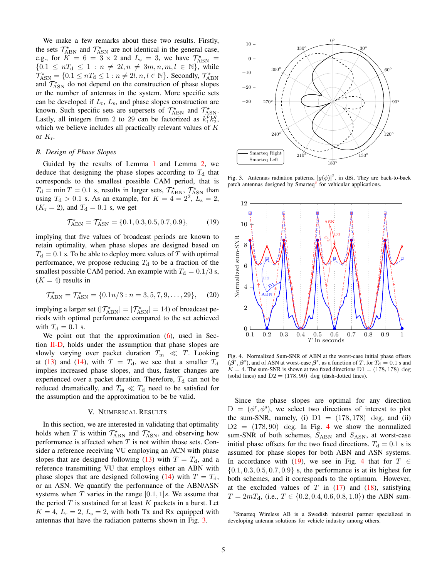We make a few remarks about these two results. Firstly, the sets  $\mathcal{T}_{ABN}^{\star}$  and  $\mathcal{T}_{ASN}^{\star}$  are not identical in the general case, e.g., for  $K = 6 = 3 \times 2$  and  $L_s = 3$ , we have  $\mathcal{T}_{ABN}^{\star}$  ${0.1 \leq nT_d \leq 1 : n \neq 2l, n \neq 3m, n, m, l \in \mathbb{N}}$ , while  $\mathcal{T}_{\rm ASN}^* = \{0.1 \leq nT_{\rm d} \leq 1 : n \neq 2l, n, l \in \mathbb{N}\}\.$  Secondly,  $\mathcal{T}_{\rm ABN}^*$ and  $\mathcal{T}_{\rm ASN}^{\star}$  do not depend on the construction of phase slopes or the number of antennas in the system. More specific sets can be developed if  $L_r$ ,  $L_s$ , and phase slopes construction are known. Such specific sets are supersets of  $\mathcal{T}_{ABN}^*$  and  $\mathcal{T}_{ASN}^*$ . Lastly, all integers from 2 to 29 can be factorized as  $k_1^p k_2^q$ , which we believe includes all practically relevant values of  $K$ or  $K_{\rm r}$ .

# *B. Design of Phase Slopes*

Guided by the results of Lemma [1](#page-4-2) and Lemma [2,](#page-4-3) we deduce that designing the phase slopes according to  $T<sub>d</sub>$  that corresponds to the smallest possible CAM period, that is  $T_{\rm d} = \min T = 0.1$  s, results in larger sets,  $\mathcal{T}_{\rm ABN}^{\star}$ ,  $\mathcal{T}_{\rm ASN}^{\star}$  than using  $T<sub>d</sub> > 0.1$  s. As an example, for  $K = 4 = 2^2$ ,  $L<sub>s</sub> = 2$ ,  $(K_r = 2)$ , and  $T_d = 0.1$  s, we get

$$
\mathcal{T}_{ABN}^{\star} = \mathcal{T}_{ASN}^{\star} = \{0.1, 0.3, 0.5, 0.7, 0.9\},\tag{19}
$$

implying that five values of broadcast periods are known to retain optimality, when phase slopes are designed based on  $T<sub>d</sub> = 0.1$  s. To be able to deploy more values of T with optimal performance, we propose reducing  $T<sub>d</sub>$  to be a fraction of the smallest possible CAM period. An example with  $T<sub>d</sub> = 0.1/3$  s,  $(K = 4)$  results in

$$
\mathcal{T}_{ABN}^{\star} = \mathcal{T}_{ASN}^{\star} = \{0.1n/3 : n = 3, 5, 7, 9, \dots, 29\},\tag{20}
$$

implying a larger set  $(|\mathcal{T}_{ABN}^{\star}| = |\mathcal{T}_{ASN}^{\star}| = 14)$  of broadcast periods with optimal performance compared to the set achieved with  $T_{\rm d} = 0.1$  s.

We point out that the approximation [\(6\)](#page-3-3), used in Section [II-D,](#page-3-4) holds under the assumption that phase slopes are slowly varying over packet duration  $T_m \ll T$ . Looking at [\(13\)](#page-4-0) and [\(14\)](#page-4-1), with  $T = T<sub>d</sub>$ , we see that a smaller  $T<sub>d</sub>$ implies increased phase slopes, and thus, faster changes are experienced over a packet duration. Therefore,  $T<sub>d</sub>$  can not be reduced dramatically, and  $T_m \ll T_d$  need to be satisfied for the assumption and the approximation to be be valid.

#### V. NUMERICAL RESULTS

In this section, we are interested in validating that optimality holds when T is within  $\mathcal{T}_{ABN}^*$  and  $\mathcal{T}_{ASN}^*$ , and observing how performance is affected when  $T$  is not within those sets. Consider a reference receiving VU employing an ACN with phase slopes that are designed following [\(13\)](#page-4-0) with  $T = T<sub>d</sub>$ , and a reference transmitting VU that employs either an ABN with phase slopes that are designed following [\(14\)](#page-4-1) with  $T = T_d$ , or an ASN. We quantify the performance of the ABN/ASN systems when T varies in the range  $[0.1, 1]$ s. We assume that the period  $T$  is sustained for at least  $K$  packets in a burst. Let  $K = 4$ ,  $L_r = 2$ ,  $L_s = 2$ , with both Tx and Rx equipped with antennas that have the radiation patterns shown in Fig. [3.](#page-5-0)



<span id="page-5-0"></span>Fig. 3. Antennas radiation patterns,  $|g(\phi)|^2$ , in dBi. They are back-to-back patch antennas designed by Smarteq<sup>[3](#page-5-1)</sup> for vehicular applications.

<span id="page-5-3"></span>

<span id="page-5-4"></span><span id="page-5-2"></span>Fig. 4. Normalized Sum-SNR of ABN at the worst-case initial phase offsets  $(\tilde{\beta}^{\rm r}, \beta^{\rm s})$ , and of ASN at worst-case  $\beta^{\rm r}$ , as a function of T, for  $T_{\rm d} = 0.1$  s and  $K = 4$ . The sum-SNR is shown at two fixed directions  $D1 = (178, 178)$  deg (solid lines) and  $D2 = (178, 90)$  deg (dash-dotted lines).

Since the phase slopes are optimal for any direction  $D = (\phi^r, \phi^s)$ , we select two directions of interest to plot the sum-SNR, namely, (i)  $D1 = (178, 178)$  deg, and (ii)  $D2 = (178, 90)$  deg. In Fig. [4](#page-5-2) we show the normalized sum-SNR of both schemes,  $S_{ABN}$  and  $S_{ASN}$ , at worst-case initial phase offsets for the two fixed directions.  $T_d = 0.1$  s is assumed for phase slopes for both ABN and ASN systems. In accordance with [\(19\)](#page-5-3), we see in Fig. [4](#page-5-2) that for  $T \in$  $\{0.1, 0.3, 0.5, 0.7, 0.9\}$  s, the performance is at its highest for both schemes, and it corresponds to the optimum. However, at the excluded values of  $T$  in [\(17\)](#page-4-4) and [\(18\)](#page-4-5), satisfying  $T = 2mT_d$ , (i.e.,  $T \in \{0.2, 0.4, 0.6, 0.8, 1.0\}$ ) the ABN sum-

<span id="page-5-1"></span><sup>&</sup>lt;sup>3</sup>Smarteq Wireless AB is a Swedish industrial partner specialized in developing antenna solutions for vehicle industry among others.